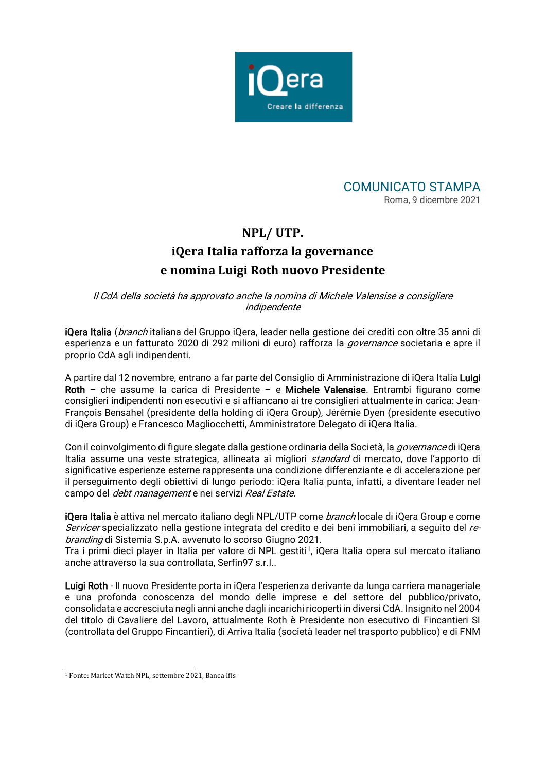



## **NPL/ UTP. iQera Italia rafforza la governance e nomina Luigi Roth nuovo Presidente**

Il CdA della società ha approvato anche la nomina di Michele Valensise a consigliere indipendente

iQera Italia (*branch* italiana del Gruppo iQera, leader nella gestione dei crediti con oltre 35 anni di esperienza e un fatturato 2020 di 292 milioni di euro) rafforza la *governance* societaria e apre il proprio CdA agli indipendenti.

A partire dal 12 novembre, entrano a far parte del Consiglio di Amministrazione di iQera Italia Luigi Roth – che assume la carica di Presidente – e Michele Valensise. Entrambi figurano come consiglieri indipendenti non esecutivi e si affiancano ai tre consiglieri attualmente in carica: Jean-François Bensahel (presidente della holding di iQera Group), Jérémie Dyen (presidente esecutivo di iQera Group) e Francesco Magliocchetti, Amministratore Delegato di iQera Italia.

Con il coinvolgimento di figure slegate dalla gestione ordinaria della Società, la *governance* di iQera Italia assume una veste strategica, allineata ai migliori *standard* di mercato, dove l'apporto di significative esperienze esterne rappresenta una condizione differenziante e di accelerazione per il perseguimento degli obiettivi di lungo periodo: iQera Italia punta, infatti, a diventare leader nel campo del *debt management* e nei servizi Real Estate.

iQera Italia è attiva nel mercato italiano degli NPL/UTP come *branch* locale di iQera Group e come Servicer specializzato nella gestione integrata del credito e dei beni immobiliari, a seguito del rebranding di Sistemia S.p.A. avvenuto lo scorso Giugno 2021.

Tra i primi dieci player in Italia per valore di NPL gestiti<sup>[1](#page-0-0)</sup>, iQera Italia opera sul mercato italiano anche attraverso la sua controllata, Serfin97 s.r.l..

Luigi Roth - Il nuovo Presidente porta in iQera l'esperienza derivante da lunga carriera manageriale e una profonda conoscenza del mondo delle imprese e del settore del pubblico/privato, consolidata e accresciuta negli anni anche dagli incarichi ricoperti in diversi CdA. Insignito nel 2004 del titolo di Cavaliere del Lavoro, attualmente Roth è Presidente non esecutivo di Fincantieri SI (controllata del Gruppo Fincantieri), di Arriva Italia (società leader nel trasporto pubblico) e di FNM

<span id="page-0-0"></span><sup>1</sup> Fonte: Market Watch NPL, settembre 2021, Banca Ifis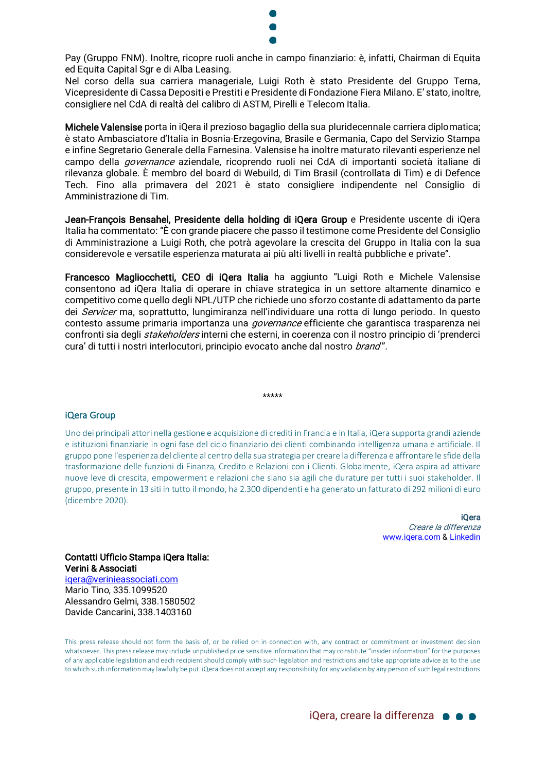

Pay (Gruppo FNM). Inoltre, ricopre ruoli anche in campo finanziario: è, infatti, Chairman di Equita ed Equita Capital Sgr e di Alba Leasing.

Nel corso della sua carriera manageriale, Luigi Roth è stato Presidente del Gruppo Terna, Vicepresidente di Cassa Depositi e Prestiti e Presidente di Fondazione Fiera Milano. E' stato, inoltre, consigliere nel CdA di realtà del calibro di ASTM, Pirelli e Telecom Italia.

Michele Valensise porta in iQera il prezioso bagaglio della sua pluridecennale carriera diplomatica; è stato Ambasciatore d'Italia in Bosnia-Erzegovina, Brasile e Germania, Capo del Servizio Stampa e infine Segretario Generale della Farnesina. Valensise ha inoltre maturato rilevanti esperienze nel campo della governance aziendale, ricoprendo ruoli nei CdA di importanti società italiane di rilevanza globale. È membro del board di Webuild, di Tim Brasil (controllata di Tim) e di Defence Tech. Fino alla primavera del 2021 è stato consigliere indipendente nel Consiglio di Amministrazione di Tim.

Jean-François Bensahel, Presidente della holding di iQera Group e Presidente uscente di iQera Italia ha commentato: "È con grande piacere che passo il testimone come Presidente del Consiglio di Amministrazione a Luigi Roth, che potrà agevolare la crescita del Gruppo in Italia con la sua considerevole e versatile esperienza maturata ai più alti livelli in realtà pubbliche e private".

Francesco Magliocchetti, CEO di iQera Italia ha aggiunto "Luigi Roth e Michele Valensise consentono ad iQera Italia di operare in chiave strategica in un settore altamente dinamico e competitivo come quello degli NPL/UTP che richiede uno sforzo costante di adattamento da parte dei Servicer ma, soprattutto, lungimiranza nell'individuare una rotta di lungo periodo. In questo contesto assume primaria importanza una *governance* efficiente che garantisca trasparenza nei confronti sia degli *stakeholders* interni che esterni, in coerenza con il nostro principio di 'prenderci cura' di tutti i nostri interlocutori, principio evocato anche dal nostro *brand"*.

## iQera Group

Uno dei principali attori nella gestione e acquisizione di crediti in Francia e in Italia, iQera supporta grandi aziende e istituzioni finanziarie in ogni fase del ciclo finanziario dei clienti combinando intelligenza umana e artificiale. Il gruppo pone l'esperienza del cliente al centro della sua strategia per creare la differenza e affrontare le sfide della trasformazione delle funzioni di Finanza, Credito e Relazioni con i Clienti. Globalmente, iQera aspira ad attivare nuove leve di crescita, empowerment e relazioni che siano sia agili che durature per tutti i suoi stakeholder. Il gruppo, presente in 13 siti in tutto il mondo, ha 2.300 dipendenti e ha generato un fatturato di 292 milioni di euro (dicembre 2020).

\*\*\*\*\*

iQera Creare la differenza [www.iqera.com](http://www.iqera.com/) [& Linkedin](https://www.linkedin.com/company/iqera-group)

## Contatti Ufficio Stampa iQera Italia: Verini & Associati

[iqera@verinieassociati.com](mailto:iqera@verinieassociati.com) Mario Tino, 335.1099520 Alessandro Gelmi, 338.1580502 Davide Cancarini, 338.1403160

This press release should not form the basis of, or be relied on in connection with, any contract or commitment or investment decision whatsoever. This press release may include unpublished price sensitive information that may constitute "insider information" for the purposes of any applicable legislation and each recipient should comply with such legislation and restrictions and take appropriate advice as to the use to which such information may lawfully be put. iQera does not accept any responsibility for any violation by any person of such legal restrictions